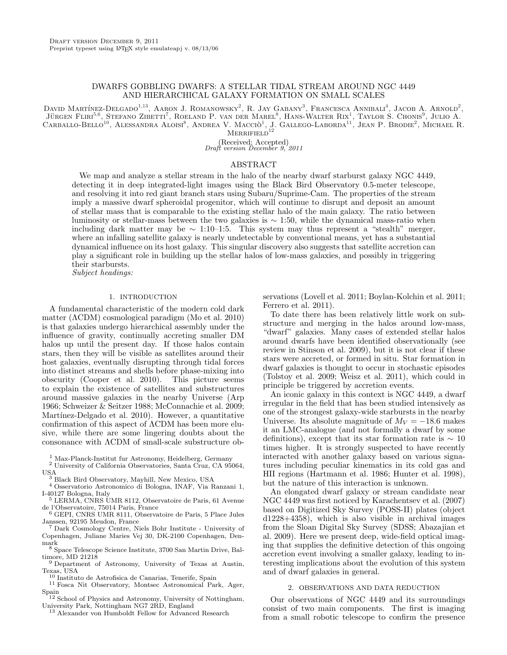# DWARFS GOBBLING DWARFS: A STELLAR TIDAL STREAM AROUND NGC 4449 AND HIERARCHICAL GALAXY FORMATION ON SMALL SCALES

David Martínez-Delgado<sup>1,13</sup>, Aaron J. Romanowsky<sup>2</sup>, R. Jay Gabany<sup>3</sup>, Francesca Annibali<sup>4</sup>, Jacob A. Arnold<sup>2</sup>, JÜRGEN FLIRI<sup>5,6</sup>, STEFANO ZIBETTI<sup>7</sup>, ROELAND P. VAN DER MAREL<sup>8</sup>, HANS-WALTER RIX<sup>1</sup>, TAYLOR S. CHONIS<sup>9</sup>, JULIO A. CARBALLO-BELLO<sup>10</sup>, ALESSANDRA ALOISI<sup>8</sup>, ANDREA V. MACCIÒ<sup>1</sup>, J. GALLEGO-LABORDA<sup>11</sup>, JEAN P. BRODIE<sup>2</sup>, MICHAEL R.  $M$ ERRIFIELD<sup>12</sup>

(Received; Accepted)

Draft version December 9, 2011

## ABSTRACT

We map and analyze a stellar stream in the halo of the nearby dwarf starburst galaxy NGC 4449, detecting it in deep integrated-light images using the Black Bird Observatory 0.5-meter telescope, and resolving it into red giant branch stars using Subaru/Suprime-Cam. The properties of the stream imply a massive dwarf spheroidal progenitor, which will continue to disrupt and deposit an amount of stellar mass that is comparable to the existing stellar halo of the main galaxy. The ratio between luminosity or stellar-mass between the two galaxies is ∼ 1:50, while the dynamical mass-ratio when including dark matter may be  $\sim 1:10-1:5$ . This system may thus represent a "stealth" merger, where an infalling satellite galaxy is nearly undetectable by conventional means, yet has a substantial dynamical influence on its host galaxy. This singular discovery also suggests that satellite accretion can play a significant role in building up the stellar halos of low-mass galaxies, and possibly in triggering their starbursts. Subject headings:

## 1. INTRODUCTION

A fundamental characteristic of the modern cold dark matter (ΛCDM) cosmological paradigm (Mo et al. 2010) is that galaxies undergo hierarchical assembly under the influence of gravity, continually accreting smaller DM halos up until the present day. If those halos contain stars, then they will be visible as satellites around their host galaxies, eventually disrupting through tidal forces into distinct streams and shells before phase-mixing into obscurity (Cooper et al. 2010). This picture seems to explain the existence of satellites and substructures around massive galaxies in the nearby Universe (Arp 1966; Schweizer & Seitzer 1988; McConnachie et al. 2009; Martínez-Delgado et al. 2010). However, a quantitative confirmation of this aspect of ΛCDM has been more elusive, while there are some lingering doubts about the consonance with ΛCDM of small-scale substructure ob-

<sup>1</sup> Max-Planck-Institut fur Astronomy, Heidelberg, Germany

- <sup>2</sup> University of California Observatories, Santa Cruz, CA 95064, USA
- <sup>3</sup> Black Bird Observatory, Mayhill, New Mexico, USA
- <sup>4</sup> Osservatorio Astronomico di Bologna, INAF, Via Ranzani 1, I-40127 Bologna, Italy
- <sup>5</sup> LERMA, CNRS UMR 8112, Observatoire de Paris, 61 Avenue de l'Observatoire, 75014 Paris, France
- <sup>6</sup> GEPI, CNRS UMR 8111, Observatoire de Paris, 5 Place Jules Janssen, 92195 Meudon, France
- <sup>7</sup> Dark Cosmology Centre, Niels Bohr Institute University of Copenhagen, Juliane Maries Vej 30, DK-2100 Copenhagen, Denmark
- <sup>8</sup> Space Telescope Science Institute, 3700 San Martin Drive, Baltimore, MD 21218
- <sup>9</sup> Department of Astronomy, University of Texas at Austin, Texas, USA
- <sup>10</sup> Instituto de Astrofisica de Canarias, Tenerife, Spain
- <sup>11</sup> Fosca Nit Observatory, Montsec Astronomical Park, Ager, Spain <sup>12</sup> School of Physics and Astronomy, University of Nottingham,
- University Park, Nottingham NG7 2RD, England <sup>13</sup> Alexander von Humboldt Fellow for Advanced Research
	-

servations (Lovell et al. 2011; Boylan-Kolchin et al. 2011; Ferrero et al. 2011).

To date there has been relatively little work on substructure and merging in the halos around low-mass, "dwarf" galaxies. Many cases of extended stellar halos around dwarfs have been identified observationally (see review in Stinson et al. 2009), but it is not clear if these stars were accreted, or formed in situ. Star formation in dwarf galaxies is thought to occur in stochastic episodes (Tolstoy et al. 2009; Weisz et al. 2011), which could in principle be triggered by accretion events.

An iconic galaxy in this context is NGC 4449, a dwarf irregular in the field that has been studied intensively as one of the strongest galaxy-wide starbursts in the nearby Universe. Its absolute magnitude of  $M_V = -18.6$  makes it an LMC-analogue (and not formally a dwarf by some definitions), except that its star formation rate is  $\sim 10$ times higher. It is strongly suspected to have recently interacted with another galaxy based on various signatures including peculiar kinematics in its cold gas and HII regions (Hartmann et al. 1986; Hunter et al. 1998), but the nature of this interaction is unknown.

An elongated dwarf galaxy or stream candidate near NGC 4449 was first noticed by Karachentsev et al. (2007) based on Digitized Sky Survey (POSS-II) plates (object d1228+4358), which is also visible in archival images from the Sloan Digital Sky Survey (SDSS; Abazajian et al. 2009). Here we present deep, wide-field optical imaging that supplies the definitive detection of this ongoing accretion event involving a smaller galaxy, leading to interesting implications about the evolution of this system and of dwarf galaxies in general.

## 2. OBSERVATIONS AND DATA REDUCTION

Our observations of NGC 4449 and its surroundings consist of two main components. The first is imaging from a small robotic telescope to confirm the presence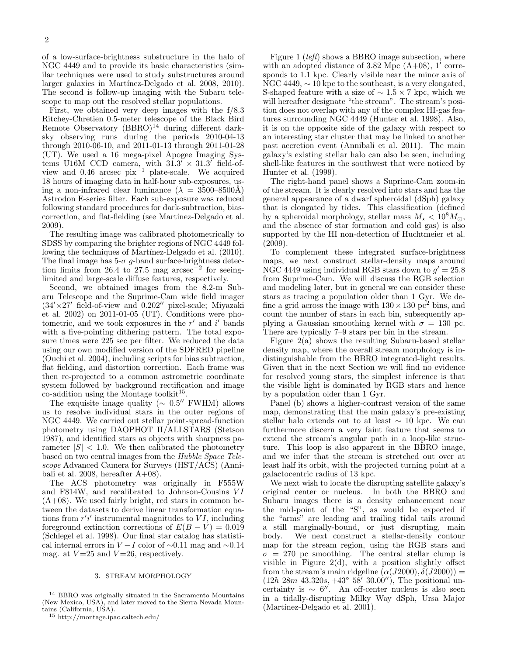of a low-surface-brightness substructure in the halo of NGC 4449 and to provide its basic characteristics (similar techniques were used to study substructures around larger galaxies in Martínez-Delgado et al. 2008, 2010). The second is follow-up imaging with the Subaru telescope to map out the resolved stellar populations.

First, we obtained very deep images with the f/8.3 Ritchey-Chretien 0.5-meter telescope of the Black Bird Remote Observatory  $(BBRO)^{14}$  during different darksky observing runs during the periods 2010-04-13 through 2010-06-10, and 2011-01-13 through 2011-01-28 (UT). We used a 16 mega-pixel Apogee Imaging Systems U16M CCD camera, with  $31.3' \times 31.3'$  field-ofview and 0.46 arcsec  $pix^{-1}$  plate-scale. We acquired 18 hours of imaging data in half-hour sub-exposures, using a non-infrared clear luminance  $(\lambda = 3500 - 8500\text{\AA})$ Astrodon E-series filter. Each sub-exposure was reduced following standard procedures for dark-subtraction, biascorrection, and flat-fielding (see Martínez-Delgado et al. 2009).

The resulting image was calibrated photometrically to SDSS by comparing the brighter regions of NGC 4449 following the techniques of Martínez-Delgado et al. (2010). The final image has  $5-\sigma$  g-band surface-brightness detection limits from 26.4 to 27.5 mag  $\arccos^{-2}$  for seeinglimited and large-scale diffuse features, respectively.

Second, we obtained images from the 8.2-m Subaru Telescope and the Suprime-Cam wide field imager  $(34' \times 27'$  field-of-view and  $0.202''$  pixel-scale; Miyazaki et al. 2002) on 2011-01-05 (UT). Conditions were photometric, and we took exposures in the  $r'$  and  $i'$  bands with a five-pointing dithering pattern. The total exposure times were 225 sec per filter. We reduced the data using our own modified version of the SDFRED pipeline (Ouchi et al. 2004), including scripts for bias subtraction, flat fielding, and distortion correction. Each frame was then re-projected to a common astrometric coordinate system followed by background rectification and image  $\text{co-addition using the Montage toolkit}^{15}.$ 

The exquisite image quality  $(\sim 0.5''$  FWHM) allows us to resolve individual stars in the outer regions of NGC 4449. We carried out stellar point-spread-function photometry using DAOPHOT II/ALLSTARS (Stetson 1987), and identified stars as objects with sharpness parameter  $|S|$  < 1.0. We then calibrated the photometry based on two central images from the Hubble Space Telescope Advanced Camera for Surveys (HST/ACS) (Annibali et al. 2008, hereafter  $A+08$ ).

The ACS photometry was originally in F555W and F814W, and recalibrated to Johnson-Cousins  $VI$  $(A+08)$ . We used fairly bright, red stars in common between the datasets to derive linear transformation equations from  $r'i'$  instrumental magnitudes to  $VI$ , including foreground extinction corrections of  $E(B - V) = 0.019$ (Schlegel et al. 1998). Our final star catalog has statistical internal errors in  $V-I$  color of ~0.11 mag and ~0.14 mag. at  $V = 25$  and  $V = 26$ , respectively.

### 3. STREAM MORPHOLOGY

<sup>14</sup> BBRO was originally situated in the Sacramento Mountains (New Mexico, USA), and later moved to the Sierra Nevada Mountains (California, USA).

Figure 1 (left) shows a BBRO image subsection, where with an adopted distance of 3.82 Mpc  $(A+08)$ , 1' corresponds to 1.1 kpc. Clearly visible near the minor axis of NGC 4449,  $\sim$  10 kpc to the southeast, is a very elongated, S-shaped feature with a size of  $\sim 1.5 \times 7$  kpc, which we will hereafter designate "the stream". The stream's position does not overlap with any of the complex HI-gas features surrounding NGC 4449 (Hunter et al. 1998). Also, it is on the opposite side of the galaxy with respect to an interesting star cluster that may be linked to another past accretion event (Annibali et al. 2011). The main galaxy's existing stellar halo can also be seen, including shell-like features in the southwest that were noticed by Hunter et al. (1999).

The right-hand panel shows a Suprime-Cam zoom-in of the stream. It is clearly resolved into stars and has the general appearance of a dwarf spheroidal (dSph) galaxy that is elongated by tides. This classification (defined by a spheroidal morphology, stellar mass  $M_{\star} < 10^{8} M_{\odot}$ , and the absence of star formation and cold gas) is also supported by the HI non-detection of Huchtmeier et al. (2009).

To complement these integrated surface-brightness maps, we next construct stellar-density maps around NGC 4449 using individual RGB stars down to  $g' = 25.8$ from Suprime-Cam. We will discuss the RGB selection and modeling later, but in general we can consider these stars as tracing a population older than 1 Gyr. We define a grid across the image with  $130 \times 130$  pc<sup>2</sup> bins, and count the number of stars in each bin, subsequently applying a Gaussian smoothing kernel with  $\sigma = 130$  pc. There are typically 7–9 stars per bin in the stream.

Figure 2(a) shows the resulting Subaru-based stellar density map, where the overall stream morphology is indistinguishable from the BBRO integrated-light results. Given that in the next Section we will find no evidence for resolved young stars, the simplest inference is that the visible light is dominated by RGB stars and hence by a population older than 1 Gyr.

Panel (b) shows a higher-contrast version of the same map, demonstrating that the main galaxy's pre-existing stellar halo extends out to at least  $\sim$  10 kpc. We can furthermore discern a very faint feature that seems to extend the stream's angular path in a loop-like structure. This loop is also apparent in the BBRO image, and we infer that the stream is stretched out over at least half its orbit, with the projected turning point at a galactocentric radius of 13 kpc.

We next wish to locate the disrupting satellite galaxy's original center or nucleus. In both the BBRO and Subaru images there is a density enhancement near the mid-point of the "S", as would be expected if the "arms" are leading and trailing tidal tails around a still marginally-bound, or just disrupting, main body. We next construct a stellar-density contour map for the stream region, using the RGB stars and  $\sigma = 270$  pc smoothing. The central stellar clump is visible in Figure  $2(d)$ , with a position slightly offset from the stream's main ridgeline  $(\alpha(J2000), \delta(J2000)) =$  $(12h 28m 43.320s, +43° 58' 30.00'')$ , The positional uncertainty is  $\sim 6''$ . An off-center nucleus is also seen in a tidally-disrupting Milky Way dSph, Ursa Major (Martínez-Delgado et al. 2001).

<sup>15</sup> http://montage.ipac.caltech.edu/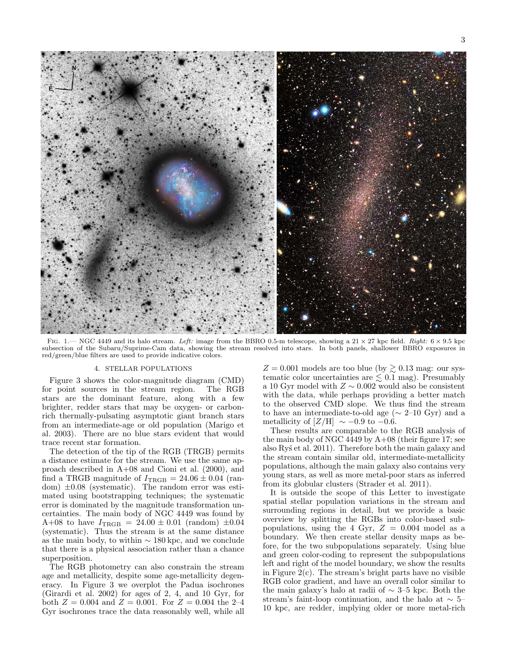

FIG. 1.— NGC 4449 and its halo stream. Left: image from the BBRO 0.5-m telescope, showing a 21  $\times$  27 kpc field. Right:  $6 \times 9.5$  kpc subsection of the Subaru/Suprime-Cam data, showing the stream resolved into stars. In both panels, shallower BBRO exposures in red/green/blue filters are used to provide indicative colors.

#### 4. STELLAR POPULATIONS

Figure 3 shows the color-magnitude diagram (CMD) for point sources in the stream region. The RGB stars are the dominant feature, along with a few brighter, redder stars that may be oxygen- or carbonrich thermally-pulsating asymptotic giant branch stars from an intermediate-age or old population (Marigo et al. 2003). There are no blue stars evident that would trace recent star formation.

The detection of the tip of the RGB (TRGB) permits a distance estimate for the stream. We use the same approach described in A+08 and Cioni et al. (2000), and find a TRGB magnitude of  $I_{TRGB} = 24.06 \pm 0.04$  (random)  $\pm 0.08$  (systematic). The random error was estimated using bootstrapping techniques; the systematic error is dominated by the magnitude transformation uncertainties. The main body of NGC 4449 was found by A+08 to have  $I_{\text{TRGB}} = 24.00 \pm 0.01$  (random)  $\pm 0.04$ (systematic). Thus the stream is at the same distance as the main body, to within  $\sim$  180 kpc, and we conclude that there is a physical association rather than a chance superposition.

The RGB photometry can also constrain the stream age and metallicity, despite some age-metallicity degeneracy. In Figure 3 we overplot the Padua isochrones (Girardi et al. 2002) for ages of 2, 4, and 10 Gyr, for both  $Z = 0.004$  and  $Z = 0.001$ . For  $Z = 0.004$  the 2-4 Gyr isochrones trace the data reasonably well, while all

 $Z = 0.001$  models are too blue (by  $\gtrsim 0.13$  mag: our systematic color uncertainties are  $\leq 0.1$  mag). Presumably a 10 Gyr model with  $Z \sim 0.002$  would also be consistent with the data, while perhaps providing a better match to the observed CMD slope. We thus find the stream to have an intermediate-to-old age ( $\sim$  2–10 Gyr) and a metallicity of  $[Z/H] \sim -0.9$  to  $-0.6$ .

These results are comparable to the RGB analysis of the main body of NGC 4449 by  $A+08$  (their figure 17; see also Ry's et al. 2011). Therefore both the main galaxy and the stream contain similar old, intermediate-metallicity populations, although the main galaxy also contains very young stars, as well as more metal-poor stars as inferred from its globular clusters (Strader et al. 2011).

It is outside the scope of this Letter to investigate spatial stellar population variations in the stream and surrounding regions in detail, but we provide a basic overview by splitting the RGBs into color-based subpopulations, using the 4 Gyr,  $Z = 0.004$  model as a boundary. We then create stellar density maps as before, for the two subpopulations separately. Using blue and green color-coding to represent the subpopulations left and right of the model boundary, we show the results in Figure  $2(c)$ . The stream's bright parts have no visible RGB color gradient, and have an overall color similar to the main galaxy's halo at radii of ∼ 3–5 kpc. Both the stream's faint-loop continuation, and the halo at  $\sim$  5– 10 kpc, are redder, implying older or more metal-rich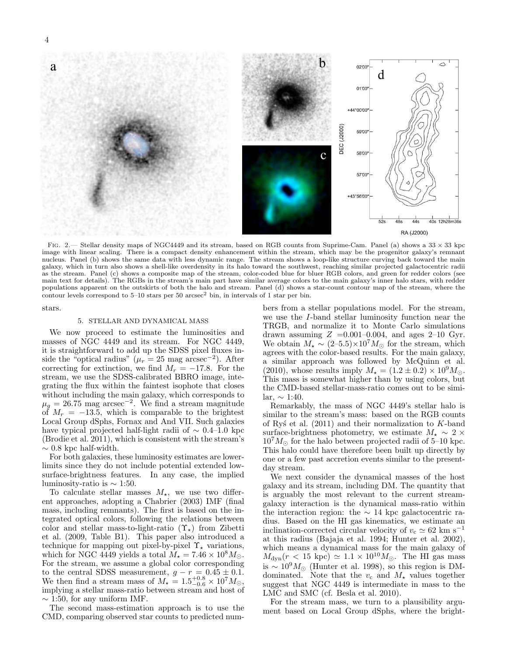

FIG. 2.— Stellar density maps of NGC4449 and its stream, based on RGB counts from Suprime-Cam. Panel (a) shows a  $33 \times 33$  kpc image with linear scaling. There is a compact density enhancement within the stream, which may be the progenitor galaxy's remnant nucleus. Panel (b) shows the same data with less dynamic range. The stream shows a loop-like structure curving back toward the main galaxy, which in turn also shows a shell-like overdensity in its halo toward the southwest, reaching similar projected galactocentric radii as the stream. Panel (c) shows a composite map of the stream, color-coded blue for bluer RGB colors, and green for redder colors (see main text for details). The RGBs in the stream's main part have similar average colors to the main galaxy's inner halo stars, with redder populations apparent on the outskirts of both the halo and stream. Panel (d) shows a star-count contour map of the stream, where the contour levels correspond to  $5-10$  stars per  $50$  arcsec<sup>2</sup> bin, in intervals of 1 star per bin.

stars.

#### 5. STELLAR AND DYNAMICAL MASS

We now proceed to estimate the luminosities and masses of NGC 4449 and its stream. For NGC 4449, it is straightforward to add up the SDSS pixel fluxes inside the "optical radius" ( $\mu_r = 25$  mag arcsec<sup>-2</sup>). After correcting for extinction, we find  $M_r = -17.8$ . For the stream, we use the SDSS-calibrated BBRO image, integrating the flux within the faintest isophote that closes without including the main galaxy, which corresponds to  $\mu_g = 26.75$  mag arcsec<sup>-2</sup>. We find a stream magnitude of  $M_r = -13.5$ , which is comparable to the brightest Local Group dSphs, Fornax and And VII. Such galaxies have typical projected half-light radii of  $\sim 0.4$ –1.0 kpc (Brodie et al. 2011), which is consistent with the stream's  $∼$  0.8 kpc half-width.

For both galaxies, these luminosity estimates are lowerlimits since they do not include potential extended lowsurface-brightness features. In any case, the implied luminosity-ratio is  $\sim$  1:50.

To calculate stellar masses  $M_{\star}$ , we use two different approaches, adopting a Chabrier (2003) IMF (final mass, including remnants). The first is based on the integrated optical colors, following the relations between color and stellar mass-to-light-ratio  $(\Upsilon_{\star})$  from Zibetti et al. (2009, Table B1). This paper also introduced a technique for mapping out pixel-by-pixel  $\Upsilon_{\star}$  variations, which for NGC 4449 yields a total  $M_{\star} = 7.46 \times 10^{8} M_{\odot}$ . For the stream, we assume a global color corresponding to the central SDSS measurement,  $g - r = 0.45 \pm 0.1$ . We then find a stream mass of  $M_{\star} = 1.5^{+0.8}_{-0.6} \times 10^7 M_{\odot}$ , implying a stellar mass-ratio between stream and host of  $\sim$  1:50, for any uniform IMF.

The second mass-estimation approach is to use the CMD, comparing observed star counts to predicted numbers from a stellar populations model. For the stream, we use the I-band stellar luminosity function near the TRGB, and normalize it to Monte Carlo simulations drawn assuming  $Z = 0.001 - 0.004$ , and ages 2-10 Gyr. We obtain  $M_{\star} \sim (2-5.5) \times 10^7 M_{\odot}$  for the stream, which agrees with the color-based results. For the main galaxy, a similar approach was followed by McQuinn et al. (2010), whose results imply  $M_{\star} = (1.2 \pm 0.2) \times 10^{9} M_{\odot}$ . This mass is somewhat higher than by using colors, but the CMD-based stellar-mass-ratio comes out to be similar,  $\sim 1:40$ .

Remarkably, the mass of NGC 4449's stellar halo is similar to the stream's mass: based on the RGB counts of Ry's et al.  $(2011)$  and their normalization to K-band surface-brightness photometry, we estimate  $M_{\star} \sim 2 \times$  $10^7 M_{\odot}$  for the halo between projected radii of 5–10 kpc. This halo could have therefore been built up directly by one or a few past accretion events similar to the presentday stream.

We next consider the dynamical masses of the host galaxy and its stream, including DM. The quantity that is arguably the most relevant to the current streamgalaxy interaction is the dynamical mass-ratio within the interaction region: the  $\sim$  14 kpc galactocentric radius. Based on the HI gas kinematics, we estimate an inclination-corrected circular velocity of  $v_c \simeq 62 \text{ km s}^{-1}$ at this radius (Bajaja et al. 1994; Hunter et al. 2002), which means a dynamical mass for the main galaxy of  $M_{\text{dyn}}(r < 15 \text{ kpc}) \simeq 1.1 \times 10^{10} M_{\odot}$ . The HI gas mass is ~  $10^9 M_{\odot}$  (Hunter et al. 1998), so this region is DMdominated. Note that the  $v_c$  and  $M_{\star}$  values together suggest that NGC 4449 is intermediate in mass to the LMC and SMC (cf. Besla et al. 2010).

For the stream mass, we turn to a plausibility argument based on Local Group dSphs, where the bright-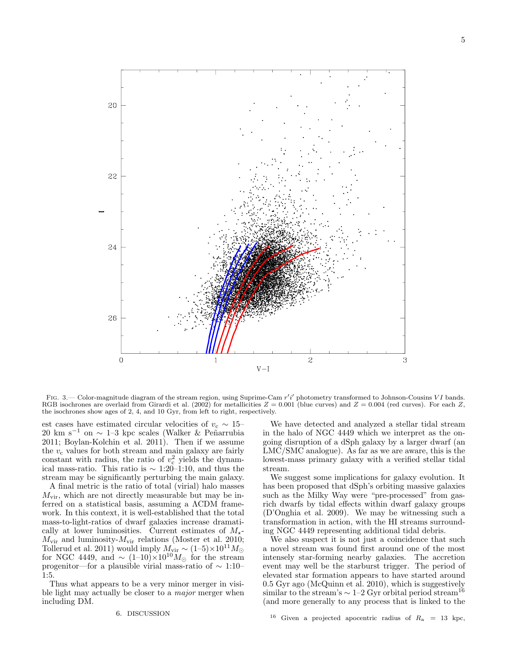

FIG. 3.— Color-magnitude diagram of the stream region, using Suprime-Cam r'i' photometry transformed to Johnson-Cousins VI bands. RGB isochrones are overlaid from Girardi et al. (2002) for metallicities  $Z = 0.001$  (blue curves) and  $Z = 0.004$  (red curves). For each Z, the isochrones show ages of 2, 4, and 10 Gyr, from left to right, respectively.

est cases have estimated circular velocities of  $v_c \sim 15-$ 20 km s<sup>−1</sup> on  $\sim$  1–3 kpc scales (Walker & Peñarrubia 2011; Boylan-Kolchin et al. 2011). Then if we assume the  $v_c$  values for both stream and main galaxy are fairly constant with radius, the ratio of  $v_c^2$  yields the dynamical mass-ratio. This ratio is  $\sim$  1:20–1:10, and thus the stream may be significantly perturbing the main galaxy.

A final metric is the ratio of total (virial) halo masses  $M_{\text{vir}}$ , which are not directly measurable but may be inferred on a statistical basis, assuming a ΛCDM framework. In this context, it is well-established that the total mass-to-light-ratios of dwarf galaxies increase dramatically at lower luminosities. Current estimates of  $M_{\star}$ - $M_{\text{vir}}$  and luminosity- $M_{\text{vir}}$  relations (Moster et al. 2010; Tollerud et al. 2011) would imply  $M_{\rm vir} \sim (1-5) \times 10^{11} M_{\odot}$ for NGC 4449, and  $\sim (1-10) \times 10^{10} M_{\odot}$  for the stream progenitor—for a plausible virial mass-ratio of ∼ 1:10– 1:5.

Thus what appears to be a very minor merger in visible light may actually be closer to a *major* merger when including DM.

#### 6. DISCUSSION

We have detected and analyzed a stellar tidal stream in the halo of NGC 4449 which we interpret as the ongoing disruption of a dSph galaxy by a larger dwarf (an LMC/SMC analogue). As far as we are aware, this is the lowest-mass primary galaxy with a verified stellar tidal stream.

We suggest some implications for galaxy evolution. It has been proposed that dSph's orbiting massive galaxies such as the Milky Way were "pre-processed" from gasrich dwarfs by tidal effects within dwarf galaxy groups (D'Onghia et al. 2009). We may be witnessing such a transformation in action, with the HI streams surrounding NGC 4449 representing additional tidal debris.

We also suspect it is not just a coincidence that such a novel stream was found first around one of the most intensely star-forming nearby galaxies. The accretion event may well be the starburst trigger. The period of elevated star formation appears to have started around 0.5 Gyr ago (McQuinn et al. 2010), which is suggestively similar to the stream's  $\sim$  1–2 Gyr orbital period stream<sup>16</sup> (and more generally to any process that is linked to the

 $^{16}$  Given a projected apocentric radius of  $R_{\rm a}$  = 13 kpc,